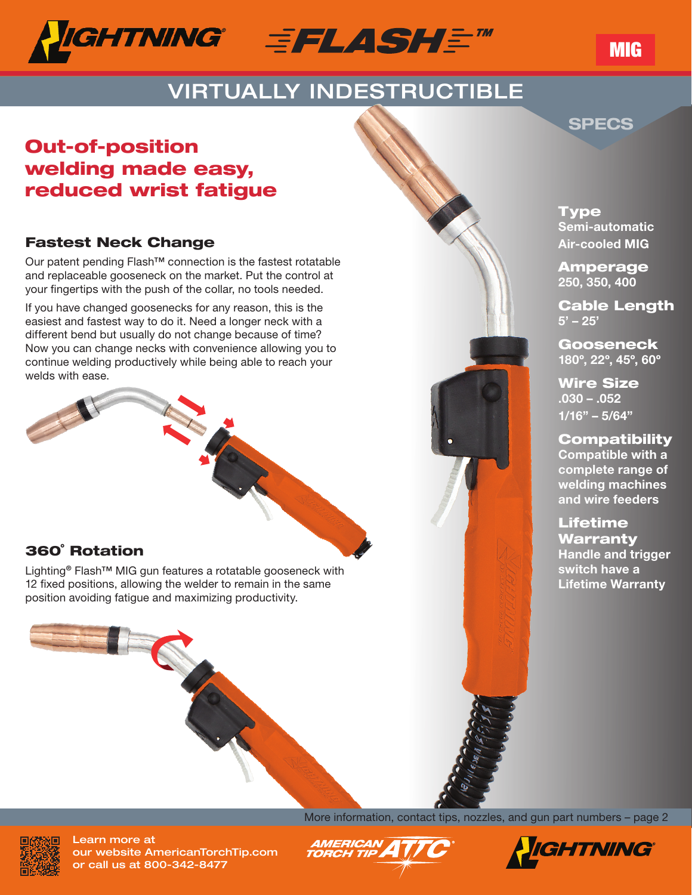



# VIRTUALLY INDESTRUCTIBLE

### SPECS

MIG

## Out-of-position welding made easy, reduced wrist fatigue

#### Fastest Neck Change

Our patent pending Flash™ connection is the fastest rotatable and replaceable gooseneck on the market. Put the control at your fingertips with the push of the collar, no tools needed.

If you have changed goosenecks for any reason, this is the easiest and fastest way to do it. Need a longer neck with a different bend but usually do not change because of time? Now you can change necks with convenience allowing you to continue welding productively while being able to reach your welds with ease.

#### 360˚ Rotation

Lighting® Flash<sup>™</sup> MIG gun features a rotatable gooseneck with 12 fixed positions, allowing the welder to remain in the same position avoiding fatigue and maximizing productivity.

CHO



**Type** Semi-automatic Air-cooled MIG

Amperage 250, 350, 400

Cable Length  $5' - 25'$ 

Gooseneck 180º, 22º, 45º, 60º

Wire Size .030 – .052  $1/16" - 5/64"$ 

**Compatibility** 

Compatible with a complete range of welding machines and wire feeders

Lifetime Warranty Handle and trigger switch have a Lifetime Warranty



Learn more at our website AmericanTorchTip.com or call us at 800-342-8477

More information, contact tips, nozzles, and gun part numbers – page 2